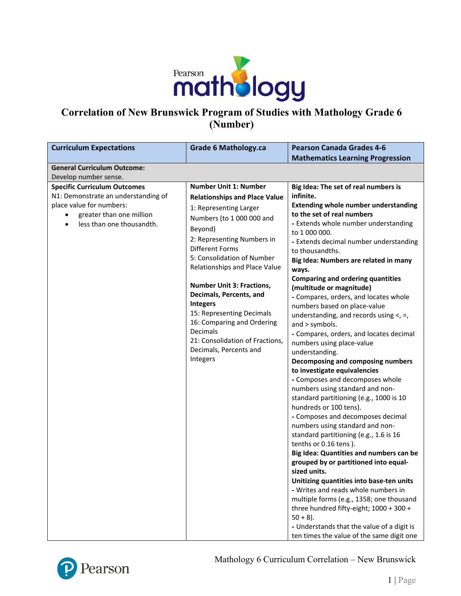

# **Correlation of New Brunswick Program of Studies with Mathology Grade 6 (Number)**

| <b>Curriculum Expectations</b>                                             | <b>Grade 6 Mathology.ca</b>                                 | <b>Pearson Canada Grades 4-6</b>                                           |
|----------------------------------------------------------------------------|-------------------------------------------------------------|----------------------------------------------------------------------------|
|                                                                            |                                                             | <b>Mathematics Learning Progression</b>                                    |
| <b>General Curriculum Outcome:</b>                                         |                                                             |                                                                            |
| Develop number sense.                                                      |                                                             |                                                                            |
| <b>Specific Curriculum Outcomes</b><br>N1: Demonstrate an understanding of | <b>Number Unit 1: Number</b>                                | Big Idea: The set of real numbers is<br>infinite.                          |
| place value for numbers:                                                   | <b>Relationships and Place Value</b>                        | <b>Extending whole number understanding</b>                                |
| greater than one million                                                   | 1: Representing Larger                                      | to the set of real numbers                                                 |
| less than one thousandth.<br>$\bullet$                                     | Numbers (to 1 000 000 and                                   | - Extends whole number understanding                                       |
|                                                                            | Beyond)                                                     | to 1 000 000.                                                              |
|                                                                            | 2: Representing Numbers in                                  | - Extends decimal number understanding                                     |
|                                                                            | <b>Different Forms</b>                                      | to thousandths.                                                            |
|                                                                            | 5: Consolidation of Number<br>Relationships and Place Value | Big Idea: Numbers are related in many                                      |
|                                                                            |                                                             | ways.                                                                      |
|                                                                            | <b>Number Unit 3: Fractions,</b>                            | <b>Comparing and ordering quantities</b><br>(multitude or magnitude)       |
|                                                                            | Decimals, Percents, and                                     | - Compares, orders, and locates whole                                      |
|                                                                            | <b>Integers</b>                                             | numbers based on place-value                                               |
|                                                                            | 15: Representing Decimals                                   | understanding, and records using $\lt$ , =,                                |
|                                                                            | 16: Comparing and Ordering                                  | and > symbols.                                                             |
|                                                                            | Decimals                                                    | - Compares, orders, and locates decimal                                    |
|                                                                            | 21: Consolidation of Fractions,                             | numbers using place-value                                                  |
|                                                                            | Decimals, Percents and                                      | understanding.                                                             |
|                                                                            | Integers                                                    | Decomposing and composing numbers                                          |
|                                                                            |                                                             | to investigate equivalencies                                               |
|                                                                            |                                                             | - Composes and decomposes whole                                            |
|                                                                            |                                                             | numbers using standard and non-<br>standard partitioning (e.g., 1000 is 10 |
|                                                                            |                                                             | hundreds or 100 tens).                                                     |
|                                                                            |                                                             | - Composes and decomposes decimal                                          |
|                                                                            |                                                             | numbers using standard and non-                                            |
|                                                                            |                                                             | standard partitioning (e.g., 1.6 is 16                                     |
|                                                                            |                                                             | tenths or 0.16 tens).                                                      |
|                                                                            |                                                             | Big Idea: Quantities and numbers can be                                    |
|                                                                            |                                                             | grouped by or partitioned into equal-                                      |
|                                                                            |                                                             | sized units.                                                               |
|                                                                            |                                                             | Unitizing quantities into base-ten units                                   |
|                                                                            |                                                             | - Writes and reads whole numbers in                                        |
|                                                                            |                                                             | multiple forms (e.g., 1358; one thousand                                   |
|                                                                            |                                                             | three hundred fifty-eight; 1000 + 300 +<br>$50 + 8$ ).                     |
|                                                                            |                                                             | - Understands that the value of a digit is                                 |
|                                                                            |                                                             | ten times the value of the same digit one                                  |



Mathology 6 Curriculum Correlation – New Brunswick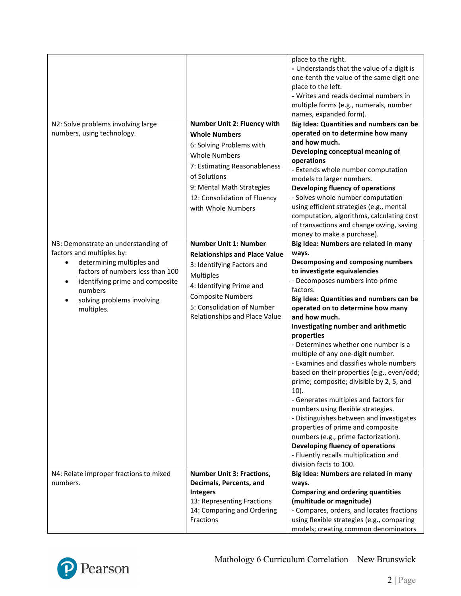|                                                                                                                                                                                     |                                                                                                                                                                                                             | place to the right.<br>- Understands that the value of a digit is<br>one-tenth the value of the same digit one<br>place to the left.<br>- Writes and reads decimal numbers in<br>multiple forms (e.g., numerals, number<br>names, expanded form).                                                                                                                                                                                                                                                                                                                                                                                                                                            |
|-------------------------------------------------------------------------------------------------------------------------------------------------------------------------------------|-------------------------------------------------------------------------------------------------------------------------------------------------------------------------------------------------------------|----------------------------------------------------------------------------------------------------------------------------------------------------------------------------------------------------------------------------------------------------------------------------------------------------------------------------------------------------------------------------------------------------------------------------------------------------------------------------------------------------------------------------------------------------------------------------------------------------------------------------------------------------------------------------------------------|
| N2: Solve problems involving large                                                                                                                                                  | Number Unit 2: Fluency with                                                                                                                                                                                 | Big Idea: Quantities and numbers can be                                                                                                                                                                                                                                                                                                                                                                                                                                                                                                                                                                                                                                                      |
| numbers, using technology.                                                                                                                                                          | <b>Whole Numbers</b><br>6: Solving Problems with<br><b>Whole Numbers</b><br>7: Estimating Reasonableness<br>of Solutions<br>9: Mental Math Strategies<br>12: Consolidation of Fluency<br>with Whole Numbers | operated on to determine how many<br>and how much.<br>Developing conceptual meaning of<br>operations<br>- Extends whole number computation<br>models to larger numbers.<br>Developing fluency of operations<br>- Solves whole number computation<br>using efficient strategies (e.g., mental<br>computation, algorithms, calculating cost<br>of transactions and change owing, saving<br>money to make a purchase).                                                                                                                                                                                                                                                                          |
| N3: Demonstrate an understanding of                                                                                                                                                 | <b>Number Unit 1: Number</b>                                                                                                                                                                                | Big Idea: Numbers are related in many                                                                                                                                                                                                                                                                                                                                                                                                                                                                                                                                                                                                                                                        |
| factors and multiples by:<br>determining multiples and<br>factors of numbers less than 100<br>identifying prime and composite<br>$\bullet$<br>numbers<br>solving problems involving | <b>Relationships and Place Value</b><br>3: Identifying Factors and<br><b>Multiples</b><br>4: Identifying Prime and<br><b>Composite Numbers</b>                                                              | ways.<br>Decomposing and composing numbers<br>to investigate equivalencies<br>- Decomposes numbers into prime<br>factors.<br>Big Idea: Quantities and numbers can be                                                                                                                                                                                                                                                                                                                                                                                                                                                                                                                         |
| multiples.<br>N4: Relate improper fractions to mixed                                                                                                                                | 5: Consolidation of Number<br>Relationships and Place Value<br><b>Number Unit 3: Fractions,</b>                                                                                                             | operated on to determine how many<br>and how much.<br>Investigating number and arithmetic<br>properties<br>- Determines whether one number is a<br>multiple of any one-digit number.<br>- Examines and classifies whole numbers<br>based on their properties (e.g., even/odd;<br>prime; composite; divisible by 2, 5, and<br>$10$ ).<br>- Generates multiples and factors for<br>numbers using flexible strategies.<br>- Distinguishes between and investigates<br>properties of prime and composite<br>numbers (e.g., prime factorization).<br>Developing fluency of operations<br>- Fluently recalls multiplication and<br>division facts to 100.<br>Big Idea: Numbers are related in many |
| numbers.                                                                                                                                                                            | Decimals, Percents, and<br><b>Integers</b><br>13: Representing Fractions<br>14: Comparing and Ordering<br>Fractions                                                                                         | ways.<br><b>Comparing and ordering quantities</b><br>(multitude or magnitude)<br>- Compares, orders, and locates fractions<br>using flexible strategies (e.g., comparing<br>models; creating common denominators                                                                                                                                                                                                                                                                                                                                                                                                                                                                             |

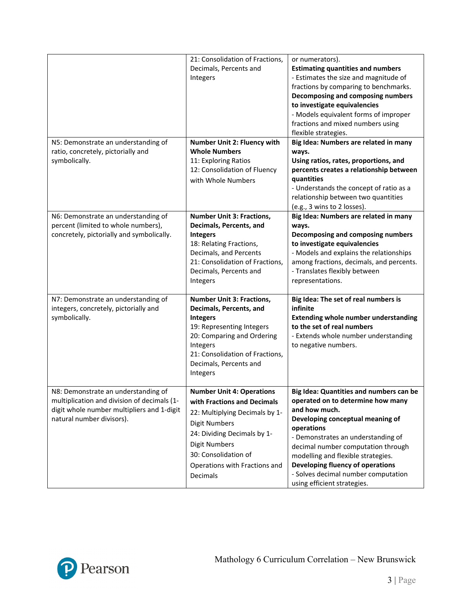|                                                                                                                                                               | 21: Consolidation of Fractions,<br>Decimals, Percents and<br>Integers                                                                                                                                                                                 | or numerators).<br><b>Estimating quantities and numbers</b><br>- Estimates the size and magnitude of<br>fractions by comparing to benchmarks.<br>Decomposing and composing numbers<br>to investigate equivalencies<br>- Models equivalent forms of improper<br>fractions and mixed numbers using<br>flexible strategies.                                                    |
|---------------------------------------------------------------------------------------------------------------------------------------------------------------|-------------------------------------------------------------------------------------------------------------------------------------------------------------------------------------------------------------------------------------------------------|-----------------------------------------------------------------------------------------------------------------------------------------------------------------------------------------------------------------------------------------------------------------------------------------------------------------------------------------------------------------------------|
| N5: Demonstrate an understanding of<br>ratio, concretely, pictorially and<br>symbolically.                                                                    | Number Unit 2: Fluency with<br><b>Whole Numbers</b><br>11: Exploring Ratios<br>12: Consolidation of Fluency<br>with Whole Numbers                                                                                                                     | Big Idea: Numbers are related in many<br>ways.<br>Using ratios, rates, proportions, and<br>percents creates a relationship between<br>quantities<br>- Understands the concept of ratio as a<br>relationship between two quantities<br>(e.g., 3 wins to 2 losses).                                                                                                           |
| N6: Demonstrate an understanding of<br>percent (limited to whole numbers),<br>concretely, pictorially and symbolically.                                       | <b>Number Unit 3: Fractions,</b><br>Decimals, Percents, and<br><b>Integers</b><br>18: Relating Fractions,<br>Decimals, and Percents<br>21: Consolidation of Fractions,<br>Decimals, Percents and<br>Integers                                          | Big Idea: Numbers are related in many<br>ways.<br>Decomposing and composing numbers<br>to investigate equivalencies<br>- Models and explains the relationships<br>among fractions, decimals, and percents.<br>- Translates flexibly between<br>representations.                                                                                                             |
| N7: Demonstrate an understanding of<br>integers, concretely, pictorially and<br>symbolically.                                                                 | <b>Number Unit 3: Fractions,</b><br>Decimals, Percents, and<br><b>Integers</b><br>19: Representing Integers<br>20: Comparing and Ordering<br>Integers<br>21: Consolidation of Fractions,<br>Decimals, Percents and<br>Integers                        | Big Idea: The set of real numbers is<br>infinite<br><b>Extending whole number understanding</b><br>to the set of real numbers<br>- Extends whole number understanding<br>to negative numbers.                                                                                                                                                                               |
| N8: Demonstrate an understanding of<br>multiplication and division of decimals (1-<br>digit whole number multipliers and 1-digit<br>natural number divisors). | <b>Number Unit 4: Operations</b><br>with Fractions and Decimals<br>22: Multiplying Decimals by 1-<br><b>Digit Numbers</b><br>24: Dividing Decimals by 1-<br><b>Digit Numbers</b><br>30: Consolidation of<br>Operations with Fractions and<br>Decimals | Big Idea: Quantities and numbers can be<br>operated on to determine how many<br>and how much.<br>Developing conceptual meaning of<br>operations<br>- Demonstrates an understanding of<br>decimal number computation through<br>modelling and flexible strategies.<br>Developing fluency of operations<br>- Solves decimal number computation<br>using efficient strategies. |

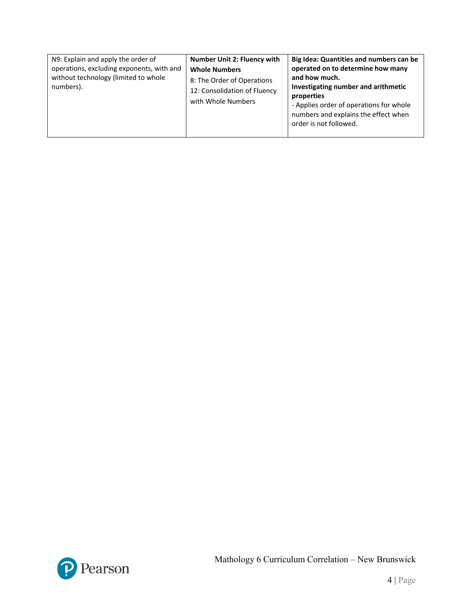| N9: Explain and apply the order of<br>operations, excluding exponents, with and<br>without technology (limited to whole<br>numbers). | <b>Number Unit 2: Fluency with</b><br><b>Whole Numbers</b><br>8: The Order of Operations<br>12: Consolidation of Fluency<br>with Whole Numbers | Big Idea: Quantities and numbers can be<br>operated on to determine how many<br>and how much.<br>Investigating number and arithmetic<br>properties<br>- Applies order of operations for whole<br>numbers and explains the effect when<br>order is not followed. |
|--------------------------------------------------------------------------------------------------------------------------------------|------------------------------------------------------------------------------------------------------------------------------------------------|-----------------------------------------------------------------------------------------------------------------------------------------------------------------------------------------------------------------------------------------------------------------|
|--------------------------------------------------------------------------------------------------------------------------------------|------------------------------------------------------------------------------------------------------------------------------------------------|-----------------------------------------------------------------------------------------------------------------------------------------------------------------------------------------------------------------------------------------------------------------|

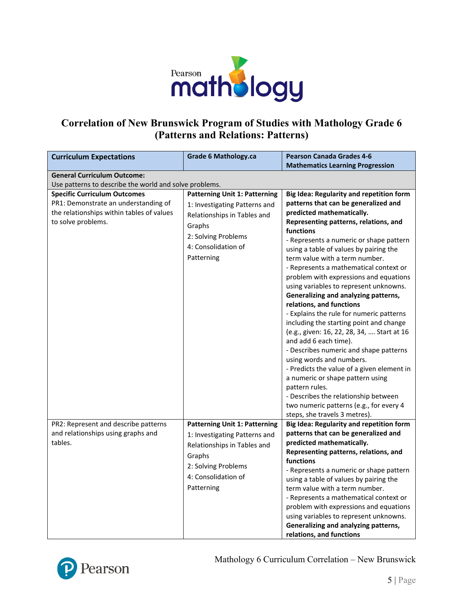

## **Correlation of New Brunswick Program of Studies with Mathology Grade 6 (Patterns and Relations: Patterns)**

| <b>Curriculum Expectations</b>                         | <b>Grade 6 Mathology.ca</b>          | <b>Pearson Canada Grades 4-6</b>                                 |
|--------------------------------------------------------|--------------------------------------|------------------------------------------------------------------|
|                                                        |                                      | <b>Mathematics Learning Progression</b>                          |
| <b>General Curriculum Outcome:</b>                     |                                      |                                                                  |
| Use patterns to describe the world and solve problems. |                                      |                                                                  |
| <b>Specific Curriculum Outcomes</b>                    | <b>Patterning Unit 1: Patterning</b> | Big Idea: Regularity and repetition form                         |
| PR1: Demonstrate an understanding of                   | 1: Investigating Patterns and        | patterns that can be generalized and                             |
| the relationships within tables of values              | Relationships in Tables and          | predicted mathematically.                                        |
| to solve problems.                                     | Graphs                               | Representing patterns, relations, and                            |
|                                                        | 2: Solving Problems                  | functions                                                        |
|                                                        | 4: Consolidation of                  | - Represents a numeric or shape pattern                          |
|                                                        |                                      | using a table of values by pairing the                           |
|                                                        | Patterning                           | term value with a term number.                                   |
|                                                        |                                      | - Represents a mathematical context or                           |
|                                                        |                                      | problem with expressions and equations                           |
|                                                        |                                      | using variables to represent unknowns.                           |
|                                                        |                                      | Generalizing and analyzing patterns,<br>relations, and functions |
|                                                        |                                      | - Explains the rule for numeric patterns                         |
|                                                        |                                      | including the starting point and change                          |
|                                                        |                                      | (e.g., given: 16, 22, 28, 34,  Start at 16                       |
|                                                        |                                      | and add 6 each time).                                            |
|                                                        |                                      | - Describes numeric and shape patterns                           |
|                                                        |                                      | using words and numbers.                                         |
|                                                        |                                      | - Predicts the value of a given element in                       |
|                                                        |                                      | a numeric or shape pattern using                                 |
|                                                        |                                      | pattern rules.                                                   |
|                                                        |                                      | - Describes the relationship between                             |
|                                                        |                                      | two numeric patterns (e.g., for every 4                          |
|                                                        |                                      | steps, she travels 3 metres).                                    |
| PR2: Represent and describe patterns                   | <b>Patterning Unit 1: Patterning</b> | Big Idea: Regularity and repetition form                         |
| and relationships using graphs and                     | 1: Investigating Patterns and        | patterns that can be generalized and                             |
| tables.                                                | Relationships in Tables and          | predicted mathematically.                                        |
|                                                        | Graphs                               | Representing patterns, relations, and                            |
|                                                        | 2: Solving Problems                  | functions                                                        |
|                                                        |                                      | - Represents a numeric or shape pattern                          |
|                                                        | 4: Consolidation of                  | using a table of values by pairing the                           |
|                                                        | Patterning                           | term value with a term number.                                   |
|                                                        |                                      | - Represents a mathematical context or                           |
|                                                        |                                      | problem with expressions and equations                           |
|                                                        |                                      | using variables to represent unknowns.                           |
|                                                        |                                      | Generalizing and analyzing patterns,                             |
|                                                        |                                      | relations, and functions                                         |



Mathology 6 Curriculum Correlation – New Brunswick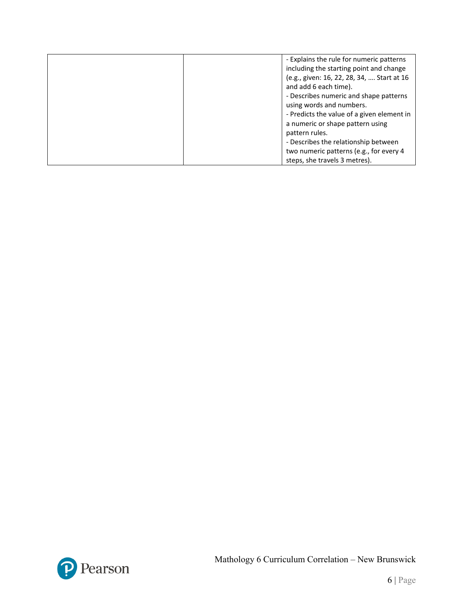| - Explains the rule for numeric patterns   |
|--------------------------------------------|
| including the starting point and change    |
| (e.g., given: 16, 22, 28, 34,  Start at 16 |
| and add 6 each time).                      |
| - Describes numeric and shape patterns     |
| using words and numbers.                   |
| - Predicts the value of a given element in |
| a numeric or shape pattern using           |
| pattern rules.                             |
| - Describes the relationship between       |
| two numeric patterns (e.g., for every 4    |
| steps, she travels 3 metres).              |

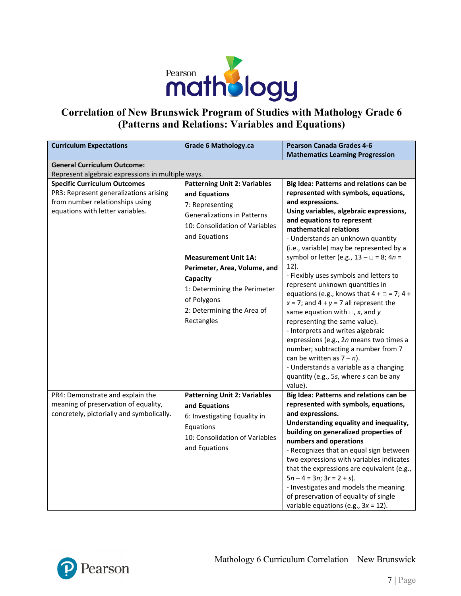

#### **Correlation of New Brunswick Program of Studies with Mathology Grade 6 (Patterns and Relations: Variables and Equations)**

| <b>Curriculum Expectations</b>                    | <b>Grade 6 Mathology.ca</b>         | <b>Pearson Canada Grades 4-6</b>                                  |
|---------------------------------------------------|-------------------------------------|-------------------------------------------------------------------|
|                                                   |                                     | <b>Mathematics Learning Progression</b>                           |
| <b>General Curriculum Outcome:</b>                |                                     |                                                                   |
| Represent algebraic expressions in multiple ways. |                                     |                                                                   |
| <b>Specific Curriculum Outcomes</b>               | <b>Patterning Unit 2: Variables</b> | Big Idea: Patterns and relations can be                           |
| PR3: Represent generalizations arising            | and Equations                       | represented with symbols, equations,                              |
| from number relationships using                   | 7: Representing                     | and expressions.                                                  |
| equations with letter variables.                  | <b>Generalizations in Patterns</b>  | Using variables, algebraic expressions,                           |
|                                                   | 10: Consolidation of Variables      | and equations to represent                                        |
|                                                   | and Equations                       | mathematical relations<br>- Understands an unknown quantity       |
|                                                   |                                     | (i.e., variable) may be represented by a                          |
|                                                   | <b>Measurement Unit 1A:</b>         | symbol or letter (e.g., $13 - \square = 8$ ; $4n =$               |
|                                                   |                                     | $12$ ).                                                           |
|                                                   | Perimeter, Area, Volume, and        | - Flexibly uses symbols and letters to                            |
|                                                   | Capacity                            | represent unknown quantities in                                   |
|                                                   | 1: Determining the Perimeter        | equations (e.g., knows that $4 + \square = 7$ ; $4 +$             |
|                                                   | of Polygons                         | $x = 7$ ; and $4 + y = 7$ all represent the                       |
|                                                   | 2: Determining the Area of          | same equation with $\Box$ , x, and y                              |
|                                                   | Rectangles                          | representing the same value).                                     |
|                                                   |                                     | - Interprets and writes algebraic                                 |
|                                                   |                                     | expressions (e.g., 2n means two times a                           |
|                                                   |                                     | number; subtracting a number from 7                               |
|                                                   |                                     | can be written as $7 - n$ ).                                      |
|                                                   |                                     | - Understands a variable as a changing                            |
|                                                   |                                     | quantity (e.g., 5s, where s can be any                            |
|                                                   |                                     | value).                                                           |
| PR4: Demonstrate and explain the                  | <b>Patterning Unit 2: Variables</b> | Big Idea: Patterns and relations can be                           |
| meaning of preservation of equality,              | and Equations                       | represented with symbols, equations,                              |
| concretely, pictorially and symbolically.         | 6: Investigating Equality in        | and expressions.                                                  |
|                                                   | Equations                           | Understanding equality and inequality,                            |
|                                                   | 10: Consolidation of Variables      | building on generalized properties of                             |
|                                                   | and Equations                       | numbers and operations<br>- Recognizes that an equal sign between |
|                                                   |                                     | two expressions with variables indicates                          |
|                                                   |                                     | that the expressions are equivalent (e.g.,                        |
|                                                   |                                     | $5n - 4 = 3n$ ; $3r = 2 + s$ ).                                   |
|                                                   |                                     | - Investigates and models the meaning                             |
|                                                   |                                     | of preservation of equality of single                             |
|                                                   |                                     | variable equations (e.g., $3x = 12$ ).                            |

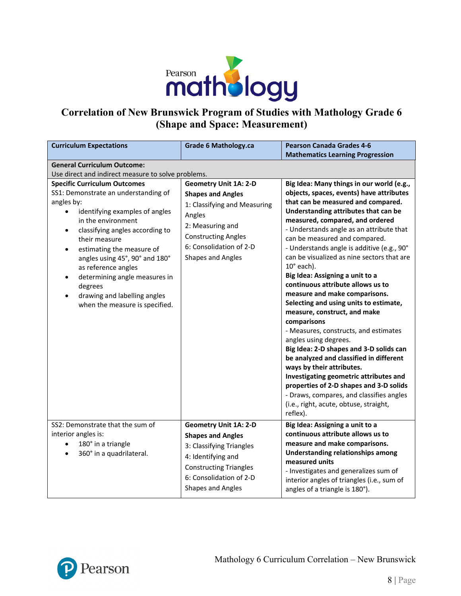

#### **Correlation of New Brunswick Program of Studies with Mathology Grade 6 (Shape and Space: Measurement)**

| <b>Curriculum Expectations</b>                                                                                                                                                                                                                                                                                                                                                                                                      | <b>Grade 6 Mathology.ca</b>                                                                                                                                                                                 | <b>Pearson Canada Grades 4-6</b>                                                                                                                                                                                                                                                                                                                                                                                                                                                                                                                                                                                                                                                                                                                                                                                                                                                                                                                                                   |
|-------------------------------------------------------------------------------------------------------------------------------------------------------------------------------------------------------------------------------------------------------------------------------------------------------------------------------------------------------------------------------------------------------------------------------------|-------------------------------------------------------------------------------------------------------------------------------------------------------------------------------------------------------------|------------------------------------------------------------------------------------------------------------------------------------------------------------------------------------------------------------------------------------------------------------------------------------------------------------------------------------------------------------------------------------------------------------------------------------------------------------------------------------------------------------------------------------------------------------------------------------------------------------------------------------------------------------------------------------------------------------------------------------------------------------------------------------------------------------------------------------------------------------------------------------------------------------------------------------------------------------------------------------|
|                                                                                                                                                                                                                                                                                                                                                                                                                                     |                                                                                                                                                                                                             | <b>Mathematics Learning Progression</b>                                                                                                                                                                                                                                                                                                                                                                                                                                                                                                                                                                                                                                                                                                                                                                                                                                                                                                                                            |
| <b>General Curriculum Outcome:</b>                                                                                                                                                                                                                                                                                                                                                                                                  |                                                                                                                                                                                                             |                                                                                                                                                                                                                                                                                                                                                                                                                                                                                                                                                                                                                                                                                                                                                                                                                                                                                                                                                                                    |
| Use direct and indirect measure to solve problems.                                                                                                                                                                                                                                                                                                                                                                                  |                                                                                                                                                                                                             |                                                                                                                                                                                                                                                                                                                                                                                                                                                                                                                                                                                                                                                                                                                                                                                                                                                                                                                                                                                    |
| <b>Specific Curriculum Outcomes</b><br>SS1: Demonstrate an understanding of<br>angles by:<br>identifying examples of angles<br>in the environment<br>classifying angles according to<br>$\bullet$<br>their measure<br>estimating the measure of<br>$\bullet$<br>angles using 45°, 90° and 180°<br>as reference angles<br>determining angle measures in<br>degrees<br>drawing and labelling angles<br>when the measure is specified. | <b>Geometry Unit 1A: 2-D</b><br><b>Shapes and Angles</b><br>1: Classifying and Measuring<br>Angles<br>2: Measuring and<br><b>Constructing Angles</b><br>6: Consolidation of 2-D<br><b>Shapes and Angles</b> | Big Idea: Many things in our world (e.g.,<br>objects, spaces, events) have attributes<br>that can be measured and compared.<br>Understanding attributes that can be<br>measured, compared, and ordered<br>- Understands angle as an attribute that<br>can be measured and compared.<br>- Understands angle is additive (e.g., 90°<br>can be visualized as nine sectors that are<br>$10^\circ$ each).<br>Big Idea: Assigning a unit to a<br>continuous attribute allows us to<br>measure and make comparisons.<br>Selecting and using units to estimate,<br>measure, construct, and make<br>comparisons<br>- Measures, constructs, and estimates<br>angles using degrees.<br>Big Idea: 2-D shapes and 3-D solids can<br>be analyzed and classified in different<br>ways by their attributes.<br>Investigating geometric attributes and<br>properties of 2-D shapes and 3-D solids<br>- Draws, compares, and classifies angles<br>(i.e., right, acute, obtuse, straight,<br>reflex). |
| SS2: Demonstrate that the sum of<br>interior angles is:<br>180° in a triangle<br>$\bullet$<br>360° in a quadrilateral.                                                                                                                                                                                                                                                                                                              | <b>Geometry Unit 1A: 2-D</b><br><b>Shapes and Angles</b><br>3: Classifying Triangles<br>4: Identifying and<br><b>Constructing Triangles</b><br>6: Consolidation of 2-D<br><b>Shapes and Angles</b>          | Big Idea: Assigning a unit to a<br>continuous attribute allows us to<br>measure and make comparisons.<br><b>Understanding relationships among</b><br>measured units<br>- Investigates and generalizes sum of<br>interior angles of triangles (i.e., sum of<br>angles of a triangle is 180°).                                                                                                                                                                                                                                                                                                                                                                                                                                                                                                                                                                                                                                                                                       |

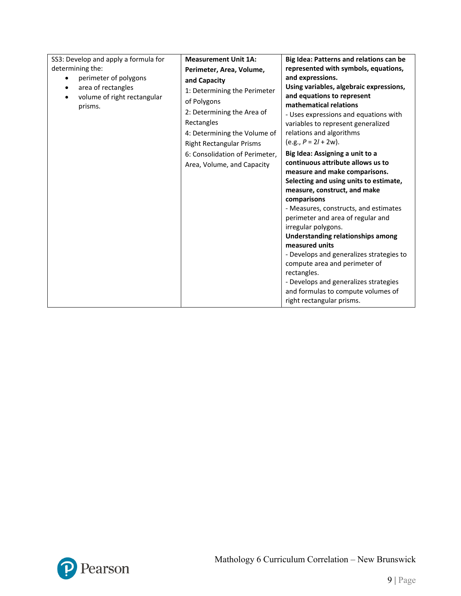| SS3: Develop and apply a formula for<br>determining the:<br>perimeter of polygons<br>area of rectangles<br>$\bullet$<br>volume of right rectangular<br>٠<br>prisms. | <b>Measurement Unit 1A:</b><br>Perimeter, Area, Volume,<br>and Capacity<br>1: Determining the Perimeter<br>of Polygons<br>2: Determining the Area of<br>Rectangles<br>4: Determining the Volume of<br><b>Right Rectangular Prisms</b><br>6: Consolidation of Perimeter,<br>Area, Volume, and Capacity | Big Idea: Patterns and relations can be<br>represented with symbols, equations,<br>and expressions.<br>Using variables, algebraic expressions,<br>and equations to represent<br>mathematical relations<br>- Uses expressions and equations with<br>variables to represent generalized<br>relations and algorithms<br>$(e.g., P = 2l + 2w).$<br>Big Idea: Assigning a unit to a<br>continuous attribute allows us to<br>measure and make comparisons.<br>Selecting and using units to estimate,<br>measure, construct, and make<br>comparisons<br>- Measures, constructs, and estimates<br>perimeter and area of regular and<br>irregular polygons.<br><b>Understanding relationships among</b><br>measured units<br>- Develops and generalizes strategies to<br>compute area and perimeter of<br>rectangles.<br>- Develops and generalizes strategies<br>and formulas to compute volumes of<br>right rectangular prisms. |
|---------------------------------------------------------------------------------------------------------------------------------------------------------------------|-------------------------------------------------------------------------------------------------------------------------------------------------------------------------------------------------------------------------------------------------------------------------------------------------------|--------------------------------------------------------------------------------------------------------------------------------------------------------------------------------------------------------------------------------------------------------------------------------------------------------------------------------------------------------------------------------------------------------------------------------------------------------------------------------------------------------------------------------------------------------------------------------------------------------------------------------------------------------------------------------------------------------------------------------------------------------------------------------------------------------------------------------------------------------------------------------------------------------------------------|
|---------------------------------------------------------------------------------------------------------------------------------------------------------------------|-------------------------------------------------------------------------------------------------------------------------------------------------------------------------------------------------------------------------------------------------------------------------------------------------------|--------------------------------------------------------------------------------------------------------------------------------------------------------------------------------------------------------------------------------------------------------------------------------------------------------------------------------------------------------------------------------------------------------------------------------------------------------------------------------------------------------------------------------------------------------------------------------------------------------------------------------------------------------------------------------------------------------------------------------------------------------------------------------------------------------------------------------------------------------------------------------------------------------------------------|

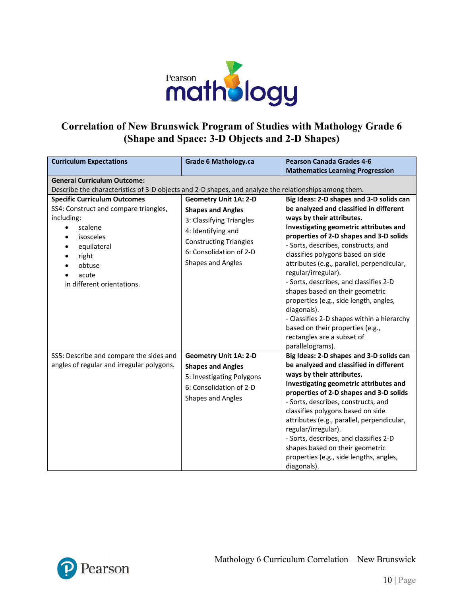

#### **Correlation of New Brunswick Program of Studies with Mathology Grade 6 (Shape and Space: 3-D Objects and 2-D Shapes)**

| <b>Curriculum Expectations</b>                                                                        | <b>Grade 6 Mathology.ca</b>                                                      | <b>Pearson Canada Grades 4-6</b>                                                                                                                                                                     |
|-------------------------------------------------------------------------------------------------------|----------------------------------------------------------------------------------|------------------------------------------------------------------------------------------------------------------------------------------------------------------------------------------------------|
|                                                                                                       |                                                                                  | <b>Mathematics Learning Progression</b>                                                                                                                                                              |
| <b>General Curriculum Outcome:</b>                                                                    |                                                                                  |                                                                                                                                                                                                      |
| Describe the characteristics of 3-D objects and 2-D shapes, and analyze the relationships among them. |                                                                                  |                                                                                                                                                                                                      |
| <b>Specific Curriculum Outcomes</b>                                                                   | <b>Geometry Unit 1A: 2-D</b>                                                     | Big Ideas: 2-D shapes and 3-D solids can                                                                                                                                                             |
| SS4: Construct and compare triangles,                                                                 | <b>Shapes and Angles</b>                                                         | be analyzed and classified in different                                                                                                                                                              |
| including:                                                                                            | 3: Classifying Triangles                                                         | ways by their attributes.                                                                                                                                                                            |
| scalene                                                                                               | 4: Identifying and                                                               | Investigating geometric attributes and                                                                                                                                                               |
| isosceles<br>$\bullet$                                                                                | <b>Constructing Triangles</b>                                                    | properties of 2-D shapes and 3-D solids<br>- Sorts, describes, constructs, and                                                                                                                       |
| equilateral                                                                                           | 6: Consolidation of 2-D                                                          | classifies polygons based on side                                                                                                                                                                    |
| right<br>obtuse                                                                                       | <b>Shapes and Angles</b>                                                         | attributes (e.g., parallel, perpendicular,                                                                                                                                                           |
| acute<br>$\bullet$                                                                                    |                                                                                  | regular/irregular).                                                                                                                                                                                  |
| in different orientations.                                                                            |                                                                                  | - Sorts, describes, and classifies 2-D                                                                                                                                                               |
|                                                                                                       |                                                                                  | shapes based on their geometric                                                                                                                                                                      |
|                                                                                                       |                                                                                  | properties (e.g., side length, angles,                                                                                                                                                               |
|                                                                                                       |                                                                                  | diagonals).                                                                                                                                                                                          |
|                                                                                                       |                                                                                  | - Classifies 2-D shapes within a hierarchy                                                                                                                                                           |
|                                                                                                       |                                                                                  | based on their properties (e.g.,                                                                                                                                                                     |
|                                                                                                       |                                                                                  | rectangles are a subset of                                                                                                                                                                           |
| SS5: Describe and compare the sides and                                                               | <b>Geometry Unit 1A: 2-D</b>                                                     | parallelograms).<br>Big Ideas: 2-D shapes and 3-D solids can                                                                                                                                         |
| angles of regular and irregular polygons.                                                             | <b>Shapes and Angles</b>                                                         | be analyzed and classified in different                                                                                                                                                              |
|                                                                                                       |                                                                                  | ways by their attributes.                                                                                                                                                                            |
|                                                                                                       |                                                                                  |                                                                                                                                                                                                      |
|                                                                                                       |                                                                                  | properties of 2-D shapes and 3-D solids                                                                                                                                                              |
|                                                                                                       |                                                                                  | - Sorts, describes, constructs, and                                                                                                                                                                  |
|                                                                                                       |                                                                                  | classifies polygons based on side                                                                                                                                                                    |
|                                                                                                       |                                                                                  | attributes (e.g., parallel, perpendicular,                                                                                                                                                           |
|                                                                                                       |                                                                                  |                                                                                                                                                                                                      |
|                                                                                                       |                                                                                  |                                                                                                                                                                                                      |
|                                                                                                       |                                                                                  |                                                                                                                                                                                                      |
|                                                                                                       |                                                                                  |                                                                                                                                                                                                      |
|                                                                                                       | 5: Investigating Polygons<br>6: Consolidation of 2-D<br><b>Shapes and Angles</b> | Investigating geometric attributes and<br>regular/irregular).<br>- Sorts, describes, and classifies 2-D<br>shapes based on their geometric<br>properties (e.g., side lengths, angles,<br>diagonals). |

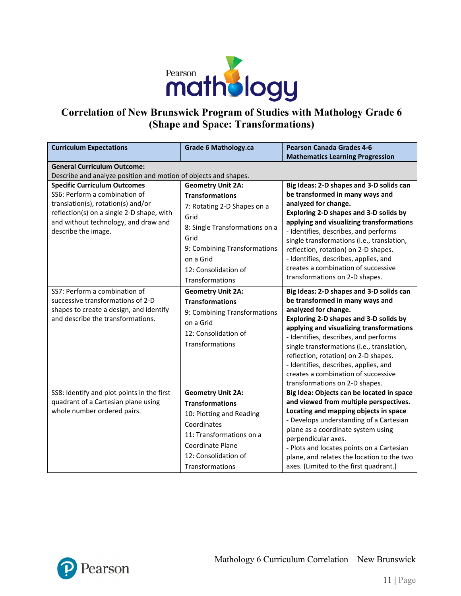

## **Correlation of New Brunswick Program of Studies with Mathology Grade 6 (Shape and Space: Transformations)**

| <b>Curriculum Expectations</b>                                                                                                                                                                                         | <b>Grade 6 Mathology.ca</b>                                                                                                                                                                              | <b>Pearson Canada Grades 4-6</b><br><b>Mathematics Learning Progression</b>                                                                                                                                                                                                                                                                                                                                                                |
|------------------------------------------------------------------------------------------------------------------------------------------------------------------------------------------------------------------------|----------------------------------------------------------------------------------------------------------------------------------------------------------------------------------------------------------|--------------------------------------------------------------------------------------------------------------------------------------------------------------------------------------------------------------------------------------------------------------------------------------------------------------------------------------------------------------------------------------------------------------------------------------------|
| <b>General Curriculum Outcome:</b>                                                                                                                                                                                     |                                                                                                                                                                                                          |                                                                                                                                                                                                                                                                                                                                                                                                                                            |
| Describe and analyze position and motion of objects and shapes.                                                                                                                                                        |                                                                                                                                                                                                          |                                                                                                                                                                                                                                                                                                                                                                                                                                            |
| <b>Specific Curriculum Outcomes</b><br>SS6: Perform a combination of<br>translation(s), rotation(s) and/or<br>reflection(s) on a single 2-D shape, with<br>and without technology, and draw and<br>describe the image. | <b>Geometry Unit 2A:</b><br><b>Transformations</b><br>7: Rotating 2-D Shapes on a<br>Grid<br>8: Single Transformations on a<br>Grid<br>9: Combining Transformations<br>on a Grid<br>12: Consolidation of | Big Ideas: 2-D shapes and 3-D solids can<br>be transformed in many ways and<br>analyzed for change.<br>Exploring 2-D shapes and 3-D solids by<br>applying and visualizing transformations<br>- Identifies, describes, and performs<br>single transformations (i.e., translation,<br>reflection, rotation) on 2-D shapes.<br>- Identifies, describes, applies, and<br>creates a combination of successive<br>transformations on 2-D shapes. |
| SS7: Perform a combination of<br>successive transformations of 2-D<br>shapes to create a design, and identify<br>and describe the transformations.                                                                     | Transformations<br><b>Geometry Unit 2A:</b><br><b>Transformations</b><br>9: Combining Transformations<br>on a Grid<br>12: Consolidation of<br>Transformations                                            | Big Ideas: 2-D shapes and 3-D solids can<br>be transformed in many ways and<br>analyzed for change.<br>Exploring 2-D shapes and 3-D solids by<br>applying and visualizing transformations<br>- Identifies, describes, and performs<br>single transformations (i.e., translation,<br>reflection, rotation) on 2-D shapes.<br>- Identifies, describes, applies, and<br>creates a combination of successive<br>transformations on 2-D shapes. |
| SS8: Identify and plot points in the first<br>quadrant of a Cartesian plane using<br>whole number ordered pairs.                                                                                                       | <b>Geometry Unit 2A:</b><br><b>Transformations</b><br>10: Plotting and Reading<br>Coordinates<br>11: Transformations on a<br><b>Coordinate Plane</b><br>12: Consolidation of<br>Transformations          | Big Idea: Objects can be located in space<br>and viewed from multiple perspectives.<br>Locating and mapping objects in space<br>- Develops understanding of a Cartesian<br>plane as a coordinate system using<br>perpendicular axes.<br>- Plots and locates points on a Cartesian<br>plane, and relates the location to the two<br>axes. (Limited to the first quadrant.)                                                                  |

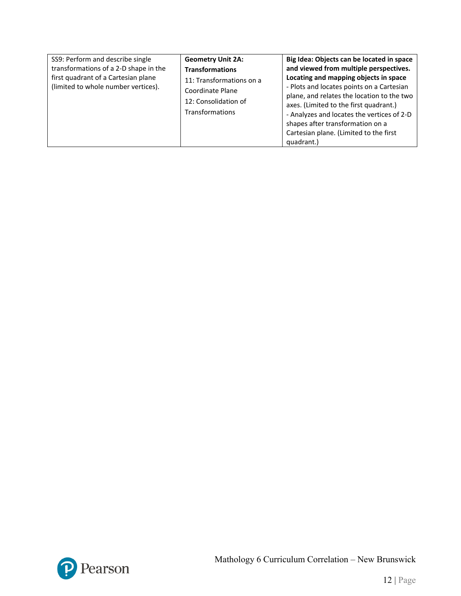| SS9: Perform and describe single<br>transformations of a 2-D shape in the<br>first quadrant of a Cartesian plane<br>(limited to whole number vertices). | <b>Geometry Unit 2A:</b><br><b>Transformations</b><br>11: Transformations on a<br>Coordinate Plane<br>12: Consolidation of<br><b>Transformations</b> | Big Idea: Objects can be located in space<br>and viewed from multiple perspectives.<br>Locating and mapping objects in space<br>- Plots and locates points on a Cartesian<br>plane, and relates the location to the two<br>axes. (Limited to the first quadrant.)<br>- Analyzes and locates the vertices of 2-D<br>shapes after transformation on a<br>Cartesian plane. (Limited to the first<br>quadrant.) |
|---------------------------------------------------------------------------------------------------------------------------------------------------------|------------------------------------------------------------------------------------------------------------------------------------------------------|-------------------------------------------------------------------------------------------------------------------------------------------------------------------------------------------------------------------------------------------------------------------------------------------------------------------------------------------------------------------------------------------------------------|
|---------------------------------------------------------------------------------------------------------------------------------------------------------|------------------------------------------------------------------------------------------------------------------------------------------------------|-------------------------------------------------------------------------------------------------------------------------------------------------------------------------------------------------------------------------------------------------------------------------------------------------------------------------------------------------------------------------------------------------------------|

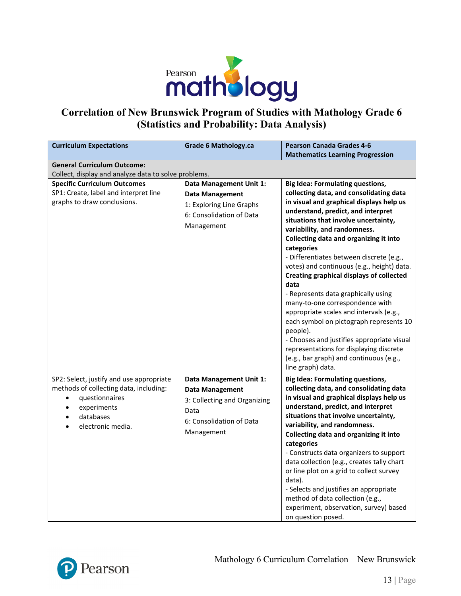

### **Correlation of New Brunswick Program of Studies with Mathology Grade 6 (Statistics and Probability: Data Analysis)**

| <b>Curriculum Expectations</b>                       | <b>Grade 6 Mathology.ca</b>  | <b>Pearson Canada Grades 4-6</b>                        |  |  |
|------------------------------------------------------|------------------------------|---------------------------------------------------------|--|--|
|                                                      |                              | <b>Mathematics Learning Progression</b>                 |  |  |
| <b>General Curriculum Outcome:</b>                   |                              |                                                         |  |  |
| Collect, display and analyze data to solve problems. |                              |                                                         |  |  |
| <b>Specific Curriculum Outcomes</b>                  | Data Management Unit 1:      | <b>Big Idea: Formulating questions,</b>                 |  |  |
| SP1: Create, label and interpret line                | <b>Data Management</b>       | collecting data, and consolidating data                 |  |  |
| graphs to draw conclusions.                          | 1: Exploring Line Graphs     | in visual and graphical displays help us                |  |  |
|                                                      | 6: Consolidation of Data     | understand, predict, and interpret                      |  |  |
|                                                      | Management                   | situations that involve uncertainty,                    |  |  |
|                                                      |                              | variability, and randomness.                            |  |  |
|                                                      |                              | Collecting data and organizing it into<br>categories    |  |  |
|                                                      |                              | - Differentiates between discrete (e.g.,                |  |  |
|                                                      |                              | votes) and continuous (e.g., height) data.              |  |  |
|                                                      |                              | <b>Creating graphical displays of collected</b><br>data |  |  |
|                                                      |                              | - Represents data graphically using                     |  |  |
|                                                      |                              | many-to-one correspondence with                         |  |  |
|                                                      |                              | appropriate scales and intervals (e.g.,                 |  |  |
|                                                      |                              | each symbol on pictograph represents 10                 |  |  |
|                                                      |                              | people).                                                |  |  |
|                                                      |                              | - Chooses and justifies appropriate visual              |  |  |
|                                                      |                              | representations for displaying discrete                 |  |  |
|                                                      |                              | (e.g., bar graph) and continuous (e.g.,                 |  |  |
|                                                      |                              | line graph) data.                                       |  |  |
| SP2: Select, justify and use appropriate             | Data Management Unit 1:      | <b>Big Idea: Formulating questions,</b>                 |  |  |
| methods of collecting data, including:               | <b>Data Management</b>       | collecting data, and consolidating data                 |  |  |
| questionnaires<br>$\bullet$                          | 3: Collecting and Organizing | in visual and graphical displays help us                |  |  |
| experiments                                          | Data                         | understand, predict, and interpret                      |  |  |
| databases                                            | 6: Consolidation of Data     | situations that involve uncertainty,                    |  |  |
| electronic media.                                    |                              | variability, and randomness.                            |  |  |
|                                                      | Management                   | Collecting data and organizing it into                  |  |  |
|                                                      |                              | categories                                              |  |  |
|                                                      |                              | - Constructs data organizers to support                 |  |  |
|                                                      |                              | data collection (e.g., creates tally chart              |  |  |
|                                                      |                              | or line plot on a grid to collect survey                |  |  |
|                                                      |                              | data).                                                  |  |  |
|                                                      |                              | - Selects and justifies an appropriate                  |  |  |
|                                                      |                              | method of data collection (e.g.,                        |  |  |
|                                                      |                              | experiment, observation, survey) based                  |  |  |
|                                                      |                              | on question posed.                                      |  |  |

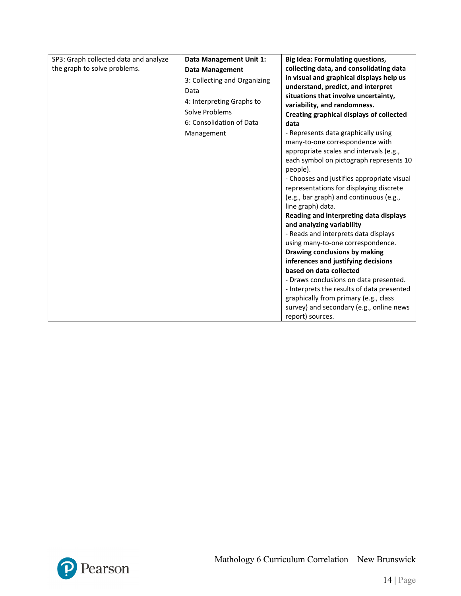| SP3: Graph collected data and analyze | Data Management Unit 1:      | <b>Big Idea: Formulating questions,</b>                        |
|---------------------------------------|------------------------------|----------------------------------------------------------------|
| the graph to solve problems.          | <b>Data Management</b>       | collecting data, and consolidating data                        |
|                                       | 3: Collecting and Organizing | in visual and graphical displays help us                       |
|                                       | Data                         | understand, predict, and interpret                             |
|                                       | 4: Interpreting Graphs to    | situations that involve uncertainty,                           |
|                                       | Solve Problems               | variability, and randomness.                                   |
|                                       | 6: Consolidation of Data     | Creating graphical displays of collected                       |
|                                       |                              | data                                                           |
|                                       | Management                   | - Represents data graphically using                            |
|                                       |                              | many-to-one correspondence with                                |
|                                       |                              | appropriate scales and intervals (e.g.,                        |
|                                       |                              | each symbol on pictograph represents 10                        |
|                                       |                              | people).                                                       |
|                                       |                              | - Chooses and justifies appropriate visual                     |
|                                       |                              | representations for displaying discrete                        |
|                                       |                              | (e.g., bar graph) and continuous (e.g.,                        |
|                                       |                              | line graph) data.                                              |
|                                       |                              | Reading and interpreting data displays                         |
|                                       |                              | and analyzing variability                                      |
|                                       |                              | - Reads and interprets data displays                           |
|                                       |                              | using many-to-one correspondence.                              |
|                                       |                              | Drawing conclusions by making                                  |
|                                       |                              | inferences and justifying decisions<br>based on data collected |
|                                       |                              |                                                                |
|                                       |                              | - Draws conclusions on data presented.                         |
|                                       |                              | - Interprets the results of data presented                     |
|                                       |                              | graphically from primary (e.g., class                          |
|                                       |                              | survey) and secondary (e.g., online news                       |
|                                       |                              | report) sources.                                               |